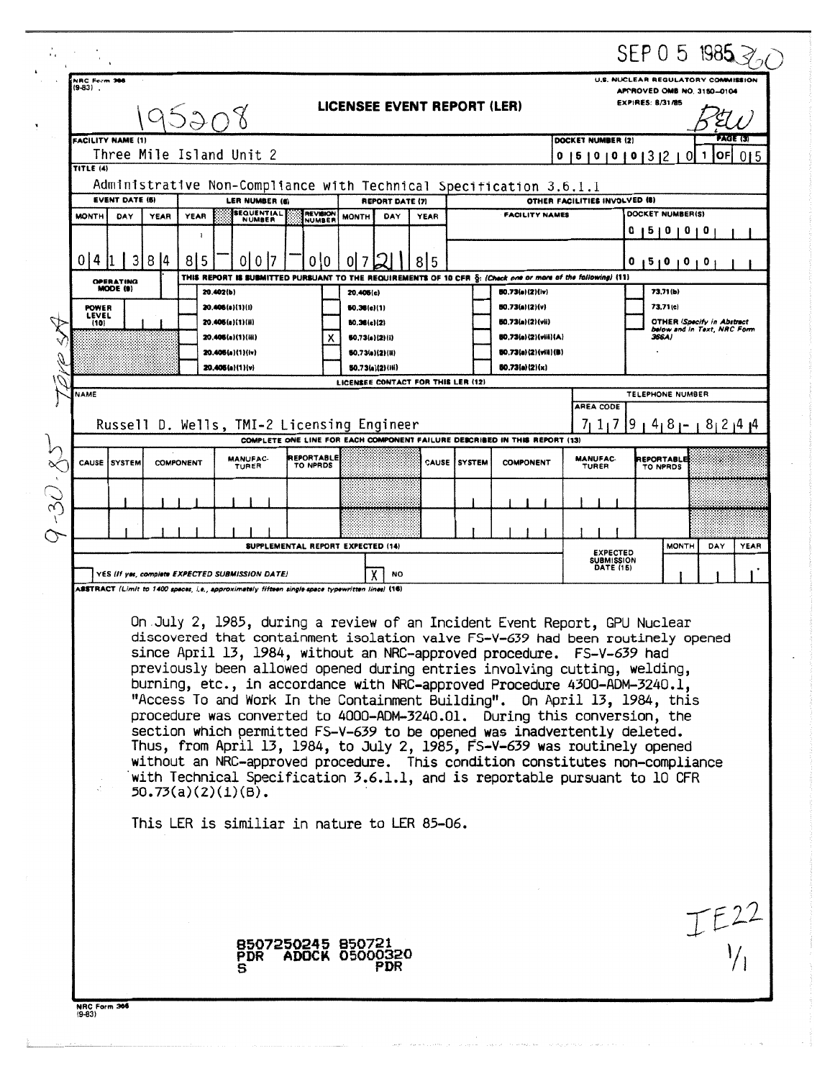|                                                                                                                                                                                                                                                                                                                                                                                                                                                                                                                                                                                                                                                                                                                                                                                                                                                                                                                                                                                                                                                             |                                                              |                                                                                                                                                                                                                                                             |                  |  |                                                                                                                                  |                                     |  |                                            |                                                                                             |               |                                                                                                |                                                                                                   |                                                                                             |                               | SEP 0 5 1985 $\geq$ |  |  |  |
|-------------------------------------------------------------------------------------------------------------------------------------------------------------------------------------------------------------------------------------------------------------------------------------------------------------------------------------------------------------------------------------------------------------------------------------------------------------------------------------------------------------------------------------------------------------------------------------------------------------------------------------------------------------------------------------------------------------------------------------------------------------------------------------------------------------------------------------------------------------------------------------------------------------------------------------------------------------------------------------------------------------------------------------------------------------|--------------------------------------------------------------|-------------------------------------------------------------------------------------------------------------------------------------------------------------------------------------------------------------------------------------------------------------|------------------|--|----------------------------------------------------------------------------------------------------------------------------------|-------------------------------------|--|--------------------------------------------|---------------------------------------------------------------------------------------------|---------------|------------------------------------------------------------------------------------------------|---------------------------------------------------------------------------------------------------|---------------------------------------------------------------------------------------------|-------------------------------|---------------------|--|--|--|
|                                                                                                                                                                                                                                                                                                                                                                                                                                                                                                                                                                                                                                                                                                                                                                                                                                                                                                                                                                                                                                                             | $(9-83)$ .                                                   | NRC Ferm 3 <b>86</b><br>LICENSEE EVENT REPORT (LER)<br>95208                                                                                                                                                                                                |                  |  |                                                                                                                                  |                                     |  |                                            |                                                                                             |               |                                                                                                |                                                                                                   | U.S. NUCLEAR REGULATORY COMMISSION<br>APPROVED OMB NO. 3150-0104<br><b>EXPIRES: B/31/85</b> |                               |                     |  |  |  |
|                                                                                                                                                                                                                                                                                                                                                                                                                                                                                                                                                                                                                                                                                                                                                                                                                                                                                                                                                                                                                                                             |                                                              | <b>FACILITY NAME (1)</b><br>Three Mile Island Unit 2                                                                                                                                                                                                        |                  |  |                                                                                                                                  |                                     |  |                                            |                                                                                             |               | DOCKET NUMBER (2)                                                                              | <b>PAGE (3)</b><br>loFl<br>0   5   0   0   0   3   2  <br>1<br>015<br>-01                         |                                                                                             |                               |                     |  |  |  |
| TITLE (4)<br>Administrative Non-Compliance with Technical Specification 3.6.1.1                                                                                                                                                                                                                                                                                                                                                                                                                                                                                                                                                                                                                                                                                                                                                                                                                                                                                                                                                                             |                                                              |                                                                                                                                                                                                                                                             |                  |  |                                                                                                                                  |                                     |  |                                            |                                                                                             |               |                                                                                                |                                                                                                   |                                                                                             |                               |                     |  |  |  |
|                                                                                                                                                                                                                                                                                                                                                                                                                                                                                                                                                                                                                                                                                                                                                                                                                                                                                                                                                                                                                                                             | <b>MONTH</b>                                                 | <b>EVENT DATE (B)</b><br>LER NUMBER (6)<br>OTHER FACILITIES INVOLVED (8)<br><b>REPORT DATE (7)</b><br><b>SEQUENTIAL</b><br><b>REVISION</b><br><b>FACILITY NAMES</b><br>DAY<br>YEAR<br><b>YEAR</b><br><b>MONTH</b><br>DAY<br><b>YEAR</b><br>NUMBER<br>NUMBER |                  |  |                                                                                                                                  |                                     |  |                                            |                                                                                             |               |                                                                                                | DOCKET NUMBER(S)                                                                                  |                                                                                             |                               |                     |  |  |  |
|                                                                                                                                                                                                                                                                                                                                                                                                                                                                                                                                                                                                                                                                                                                                                                                                                                                                                                                                                                                                                                                             | 014                                                          |                                                                                                                                                                                                                                                             |                  |  |                                                                                                                                  |                                     |  |                                            |                                                                                             |               |                                                                                                |                                                                                                   | 15101010                                                                                    |                               |                     |  |  |  |
|                                                                                                                                                                                                                                                                                                                                                                                                                                                                                                                                                                                                                                                                                                                                                                                                                                                                                                                                                                                                                                                             | 3<br>  8   4<br>8 5<br>0 I O<br><b>OPERATING</b><br>MODE (9) |                                                                                                                                                                                                                                                             |                  |  | 8 5<br>010<br>01<br>THIS REPORT IS SUBMITTED PURSUANT TO THE REQUIREMENTS OF 10 CFR §: (Check one or more of the following) (11) |                                     |  |                                            |                                                                                             |               | 0                                                                                              | 15101010                                                                                          |                                                                                             |                               |                     |  |  |  |
|                                                                                                                                                                                                                                                                                                                                                                                                                                                                                                                                                                                                                                                                                                                                                                                                                                                                                                                                                                                                                                                             | (10)                                                         | 20.402(b)<br><b>POWER</b><br>20.406(a)(1)(i)<br>LEVEL<br>20.405(a)(1)(ii)<br>20.406(a)(1)(iii)                                                                                                                                                              |                  |  | 20,405(c)<br>60.36(c)(1)<br>50.36(c)(2)<br>х<br>(2)(i)                                                                           |                                     |  |                                            | <b>80.73(s)(2)(iv)</b><br>50.73(a)(2)(v)<br><b>50.73(a)(2)(vii)</b><br>80.73(a)(2)(viii)(A) |               |                                                                                                | 73.71(b)<br>73.71(c)<br><b>OTHER (Specify in Abstract</b><br>below and in Text, NRC Form<br>366A) |                                                                                             |                               |                     |  |  |  |
|                                                                                                                                                                                                                                                                                                                                                                                                                                                                                                                                                                                                                                                                                                                                                                                                                                                                                                                                                                                                                                                             |                                                              |                                                                                                                                                                                                                                                             |                  |  | 20.405(a)(1)(iv)<br>20.405(a)(1)(v)                                                                                              |                                     |  | <b>80.73(a)(2)(ii)</b><br>50.73(a)(2)(iii) |                                                                                             |               | 80.73(a)(2)(viii)(B)<br>(2)(x)                                                                 |                                                                                                   |                                                                                             |                               |                     |  |  |  |
|                                                                                                                                                                                                                                                                                                                                                                                                                                                                                                                                                                                                                                                                                                                                                                                                                                                                                                                                                                                                                                                             | <b>NAME</b>                                                  |                                                                                                                                                                                                                                                             |                  |  | Russell D. Wells, TMI-2 Licensing Engineer                                                                                       |                                     |  |                                            | LICENSEE CONTACT FOR THIS LER (12)                                                          |               |                                                                                                | AREA CODE                                                                                         |                                                                                             | TELEPHONE NUMBER              | $71179148 - 82144$  |  |  |  |
|                                                                                                                                                                                                                                                                                                                                                                                                                                                                                                                                                                                                                                                                                                                                                                                                                                                                                                                                                                                                                                                             | CAUSE                                                        | SYSTEM                                                                                                                                                                                                                                                      | <b>COMPONENT</b> |  | <b>MANUFAC-</b><br>TURER                                                                                                         | REPORTABLE<br>TO NPRDS              |  |                                            |                                                                                             | CAUSE ISYSTEM | COMPLETE ONE LINE FOR EACH COMPONENT FAILURE DESCRIBED IN THIS REPORT (13)<br><b>COMPONENT</b> | <b>MANUFAC-</b><br>TURER                                                                          |                                                                                             | <b>REPORTABLE</b><br>TO NPRDS |                     |  |  |  |
| $\widetilde{\mathcal{E}}$                                                                                                                                                                                                                                                                                                                                                                                                                                                                                                                                                                                                                                                                                                                                                                                                                                                                                                                                                                                                                                   |                                                              |                                                                                                                                                                                                                                                             |                  |  |                                                                                                                                  |                                     |  |                                            |                                                                                             |               |                                                                                                |                                                                                                   |                                                                                             |                               |                     |  |  |  |
|                                                                                                                                                                                                                                                                                                                                                                                                                                                                                                                                                                                                                                                                                                                                                                                                                                                                                                                                                                                                                                                             |                                                              |                                                                                                                                                                                                                                                             |                  |  |                                                                                                                                  |                                     |  |                                            |                                                                                             |               |                                                                                                |                                                                                                   |                                                                                             |                               |                     |  |  |  |
| SUPPLEMENTAL REPORT EXPECTED (14)<br><b>MONTH</b><br><b>EXPECTED</b><br><b>SUBMISSION</b><br><b>DATE (15)</b><br>YES (If yes, complete EXPECTED SUBMISSION DATE)<br><b>NO</b>                                                                                                                                                                                                                                                                                                                                                                                                                                                                                                                                                                                                                                                                                                                                                                                                                                                                               |                                                              |                                                                                                                                                                                                                                                             |                  |  |                                                                                                                                  |                                     |  |                                            |                                                                                             | DAY<br>YEAR   |                                                                                                |                                                                                                   |                                                                                             |                               |                     |  |  |  |
| ABSTRACT (Limit to 1400 spaces, i.e., approximately fifteen single-space typewritten lines) (16)<br>On July 2, 1985, during a review of an Incident Event Report, GPU Nuclear<br>discovered that containment isolation valve FS-V-639 had been routinely opened<br>since April 13, 1984, without an NRC-approved procedure. FS-V-639 had<br>previously been allowed opened during entries involving cutting, welding,<br>burning, etc., in accordance with NRC-approved Procedure 4300-ADM-3240.1,<br>"Access To and Work In the Containment Building". On April 13, 1984, this<br>procedure was converted to 4000-ADM-3240.01. During this conversion, the<br>section which permitted FS-V-639 to be opened was inadvertently deleted.<br>Thus, from April 13, 1984, to July 2, 1985, FS-V-639 was routinely opened<br>without an NRC-approved procedure. This condition constitutes non-compliance<br>with Technical Specification 3.6.1.1, and is reportable pursuant to 10 CFR<br>$50.73(a)(2)(1)(B)$ .<br>This LER is similiar in nature to LER 85-06. |                                                              |                                                                                                                                                                                                                                                             |                  |  |                                                                                                                                  |                                     |  |                                            |                                                                                             |               |                                                                                                |                                                                                                   |                                                                                             |                               |                     |  |  |  |
|                                                                                                                                                                                                                                                                                                                                                                                                                                                                                                                                                                                                                                                                                                                                                                                                                                                                                                                                                                                                                                                             | NRC Form 366                                                 |                                                                                                                                                                                                                                                             |                  |  | <b>PDR</b><br>s                                                                                                                  | 8507250245 850721<br>ADOCK 05000320 |  | PDR                                        |                                                                                             |               |                                                                                                |                                                                                                   |                                                                                             |                               | $TF^{22}$           |  |  |  |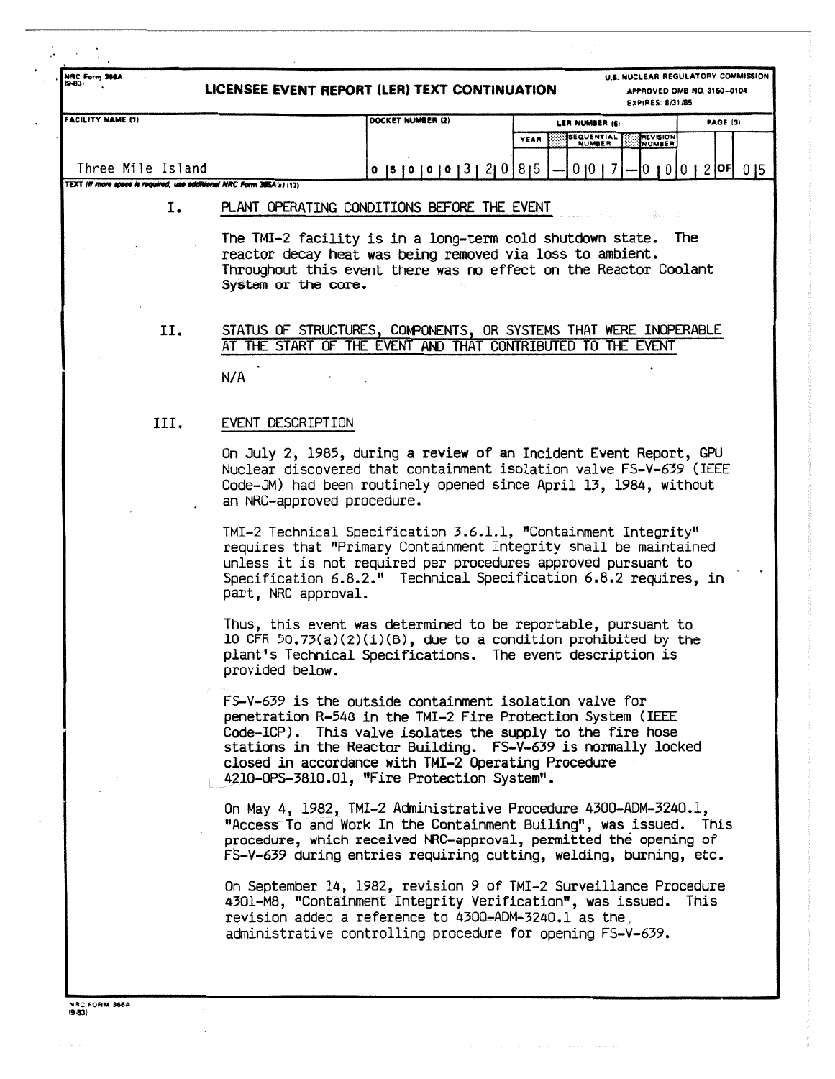| NRC Form 366A                                                         | LICENSEE EVENT REPORT (LER) TEXT CONTINUATION |                                                                                                                                                                                                                                                                                                                                                             | U.S. NUCLEAR REGULATORY COMMISSION<br>APPROVED OMB NO. 3150-0104<br><b>EXPIRES: 8/31/85</b> |                                            |                     |  |  |  |  |
|-----------------------------------------------------------------------|-----------------------------------------------|-------------------------------------------------------------------------------------------------------------------------------------------------------------------------------------------------------------------------------------------------------------------------------------------------------------------------------------------------------------|---------------------------------------------------------------------------------------------|--------------------------------------------|---------------------|--|--|--|--|
| <b>FACILITY NAME (1)</b>                                              |                                               | DOCKET NUMBER (2)                                                                                                                                                                                                                                                                                                                                           | LER NUMBER (6)                                                                              |                                            | <b>PAGE (3)</b>     |  |  |  |  |
|                                                                       |                                               |                                                                                                                                                                                                                                                                                                                                                             | YEAR                                                                                        | REVISION<br>SEQUENTIAL<br>NUMBER<br>NUMBER |                     |  |  |  |  |
| Three Mile Island                                                     |                                               | $0$  5   0   0   0   3   2  0   8  5                                                                                                                                                                                                                                                                                                                        |                                                                                             | 0101                                       | $0 10 0 12$   $0 5$ |  |  |  |  |
| TEXT (If more apace is required, use additional NRC Form 385A's) (17) |                                               |                                                                                                                                                                                                                                                                                                                                                             |                                                                                             |                                            |                     |  |  |  |  |
| 1.                                                                    |                                               | PLANT OPERATING CONDITIONS BEFORE THE EVENT                                                                                                                                                                                                                                                                                                                 |                                                                                             |                                            |                     |  |  |  |  |
|                                                                       | System or the core.                           | The TMI-2 facility is in a long-term cold shutdown state. The<br>reactor decay heat was being removed via loss to ambient.<br>Throughout this event there was no effect on the Reactor Coolant                                                                                                                                                              |                                                                                             |                                            |                     |  |  |  |  |
| II. <sup>-</sup>                                                      |                                               | STATUS OF STRUCTURES, COMPONENTS, OR SYSTEMS THAT WERE INOPERABLE<br>AT THE START OF THE EVENT AND THAT CONTRIBUTED TO THE EVENT                                                                                                                                                                                                                            |                                                                                             |                                            |                     |  |  |  |  |
|                                                                       | N/A                                           |                                                                                                                                                                                                                                                                                                                                                             |                                                                                             |                                            |                     |  |  |  |  |
| III.                                                                  | EVENT DESCRIPTION                             |                                                                                                                                                                                                                                                                                                                                                             |                                                                                             |                                            |                     |  |  |  |  |
|                                                                       | an NRC-approved procedure.                    | On July 2, 1985, during a review of an Incident Event Report, GPU<br>Nuclear discovered that containment isolation valve FS-V-639 (IEEE<br>Code-JM) had been routinely opened since April 13, 1984, without                                                                                                                                                 |                                                                                             |                                            |                     |  |  |  |  |
|                                                                       | part, NRC approval.                           | TMI-2 Technical Specification 3.6.1.1, "Containment Integrity"<br>requires that "Primary Containment Integrity shall be maintained<br>unless it is not required per procedures approved pursuant to<br>Specification 6.8.2." Technical Specification 6.8.2 requires, in                                                                                     |                                                                                             |                                            |                     |  |  |  |  |
|                                                                       | provided below.                               | Thus, this event was determined to be reportable, pursuant to<br>10 CFR 50.73(a)(2)(i)(B), due to a condition prohibited by the<br>plant's Technical Specifications. The event description is                                                                                                                                                               |                                                                                             |                                            |                     |  |  |  |  |
|                                                                       |                                               | FS-V-639 is the outside containment isolation valve for<br>penetration R-548 in the TMI-2 Fire Protection System (IEEE<br>Code-ICP). This valve isolates the supply to the fire hose<br>stations in the Reactor Building. FS-V-639 is normally locked<br>closed in accordance with TMI-2 Operating Procedure<br>4210-0PS-3810.01, "Fire Protection System". |                                                                                             |                                            |                     |  |  |  |  |
|                                                                       |                                               | On May 4, 1982, TMI-2 Administrative Procedure 4300-ADM-3240.1,<br>"Access To and Work In the Containment Builing", was issued. This<br>procedure, which received NRC-approval, permitted the opening of<br>FS-V-639 during entries requiring cutting, welding, burning, etc.                                                                               |                                                                                             |                                            |                     |  |  |  |  |
|                                                                       |                                               | On September 14, 1982, revision 9 of TMI-2 Surveillance Procedure<br>4301-M8, "Containment Integrity Verification", was issued. This<br>revision added a reference to 4300-ADM-3240.1 as the<br>administrative controlling procedure for opening FS-V-639.                                                                                                  |                                                                                             |                                            |                     |  |  |  |  |

 $\mathcal{A}$  is a simple polarization of the set of the set of  $\mathcal{A}$ 

 $\mathbf{z}_1, \ldots, \mathbf{z}_n$ 

 $\alpha$  , and  $\alpha$  and  $\alpha$  , and there are the  $\alpha$ 

 $\ldots$  :

 $\sim$  10  $\pm$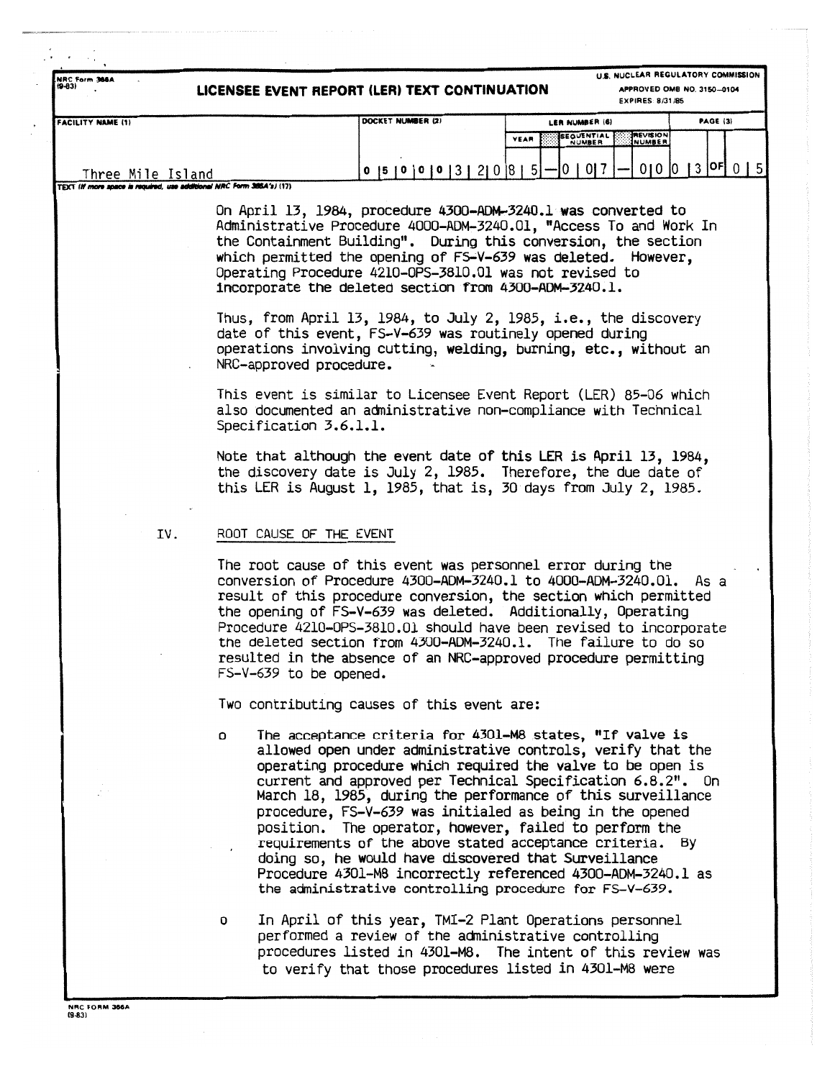U.S. NUCLEAR REGULATORY COMMISSION **NRC Form 366A** APPROVED OMB NO. 3150-0104 LICENSEE EVENT REPORT (LER) TEXT CONTINUATION **EXPIRES: 8/31/85** DOCKET NUMBER (2) FACILITY NAME (1) **PAGE (3)** LER NUMBER (6) SEQUENTIAL<br>NUMBER **REVISION YEAR**  $010013$   $0F015$  $0$  |5 | 0 | 0 | 0 | 3 | 2 | 0 | 8 | 5 | 0 0 1 7 Three Mile Island **MRC Form 3804's / (17) TEXT IN mon** On April 13, 1984, procedure 4300-ADM-3240.1 was converted to Administrative Procedure 4000-ADM-3240.01, "Access To and Work In the Containment Building". During this conversion, the section which permitted the opening of FS-V-639 was deleted. However, Operating Procedure 4210-0PS-3810.01 was not revised to incorporate the deleted section from 4300-ADM-3240.1. Thus, from April 13, 1984, to July 2, 1985, i.e., the discovery date of this event, FS-V-639 was routinely opened during operations involving cutting, welding, burning, etc., without an NRC-approved procedure. This event is similar to Licensee Event Report (LER) 85-06 which also documented an administrative non-compliance with Technical Specification 3.6.1.1. Note that although the event date of this LER is April 13, 1984, the discovery date is July 2, 1985. Therefore, the due date of this LER is August 1, 1985, that is, 30 days from July 2, 1985. IV. ROOT CAUSE OF THE EVENT The root cause of this event was personnel error during the conversion of Procedure 4300-ADM-3240.1 to 4000-ADM-3240.01. As a result of this procedure conversion, the section which permitted the opening of FS-V-639 was deleted. Additionally, Operating Procedure 4210-0PS-3810.01 should have been revised to incorporate the deleted section from 4300-ADM-3240.1. The failure to do so resulted in the absence of an NRC-approved procedure permitting FS-V-639 to be opened. Two contributing causes of this event are: The acceptance criteria for 4301-M8 states, "If valve is 0 allowed open under administrative controls, verify that the operating procedure which required the valve to be open is current and approved per Technical Specification 6.8.2". On March 18, 1985, during the performance of this surveillance procedure, FS-V-639 was initialed as being in the opened

position. The operator, however, failed to perform the requirements of the above stated acceptance criteria. By doing so, he would have discovered that Surveillance Procedure 4301-M8 incorrectly referenced 4300-ADM-3240.1 as the administrative controlling procedure for FS-V-639.

In April of this year, TMI-2 Plant Operations personnel o performed a review of the administrative controlling procedures listed in 4301-M8. The intent of this review was to verify that those procedures listed in 4301-M8 were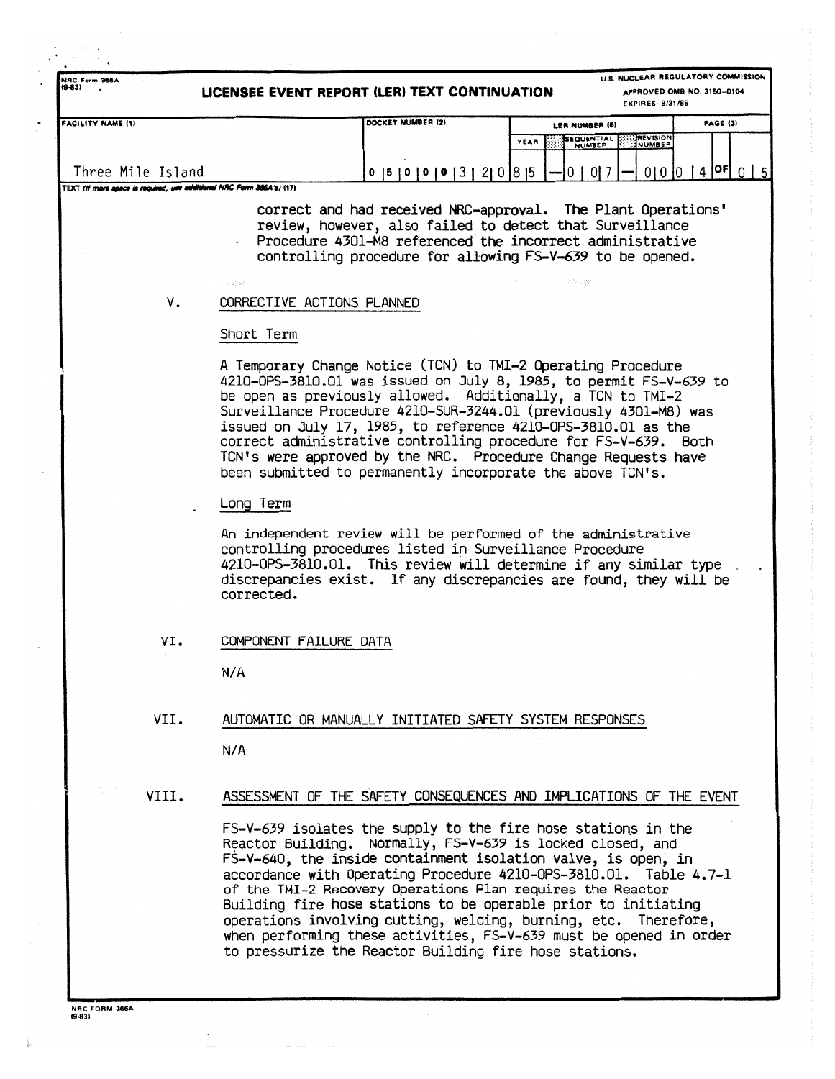**U.S. NUCLEAR REGULATORY COMMISSION 14RC Form 366A**<br>(9-83) **APPROVED OMB NO. 3150-0104 LICENSEE EVENT REPORT (LER) TEXT CONTINUATION EXPIRES : 8131435 FACILITY NAME (1) DOCKET NUMBER 12** LER NUMBER (6) **PAGE (3) EQUENTIAL** EVISIO VEAR NUMBER Three Mile Island  $0$  |5 | 0 | 0 | 0 | 3 | 2 | 0 | 8 | 5  $0 | 0 | 7$ |OF  $010101$ 4 TEXT (If more space is required, use additional NRC Form 386A's) (17) correct and had received NRC-approval. The Plant Operations' review, however, also failed to detect that Surveillance Procedure 4301-M8 referenced the incorrect administrative controlling procedure for allowing FS-V-639 to be opened . V. CORRECTIVE ACTIONS PLANNED Short Term A Temporary Change Notice (TCN) to TMI-2 Operating Procedure 4210-OPS-38I0 .Ol was issued on July 8, 1985, to permit FS-V-639 to be open as previously allowed. Additionally, a TCN to TMI-2 Surveillance Procedure 4210-SUR-3244 .O1 (previously 430I-M8) was issued on July 17, 1985, to reference 4210-OPS-3810 .01 as the correct administrative controlling procedure for FS-V-639 . Both TCN's were approved by the NRC. Procedure Change Requests have been submitted to permanently incorporate the above TCN's. . Long Term An independent review will be performed of the administrative controlling procedures listed in Surveillance Procedure 4210-OPS-3810.01. This review will determine if any similar type discrepancies exist. If any discrepancies are found, they will be corrected . VI. COMPONENT FAILURE DATA  $N/A$ VII. AUTOMATIC OR MANUALLY INITIATED SAFETY SYSTEM RESPONSES  $N/A$ VIII. ASSESSMENT OF THE SAFETY CONSEQUENCES AND IMPLICATIONS OF THE EVENT FS-V-639 isolates the supply to the fire hose stations in the Reactor Building. Normally, FS-V-639 is locked closed, and FS-V-640, the inside containment isolation valve, is open, in accordance with Operating Procedure 4210-OPS-3810 .01 . Table 4 .7-1 of the TMI-2 Recovery Operations Plan requires the Reactor Building fire hose stations to be operable prior to initiating operations involving cutting, welding, burning, etc. Therefore, when performing these activities, FS-V-639 must be opened in order

to pressurize the Reactor Building fire hose stations .

**1.1s**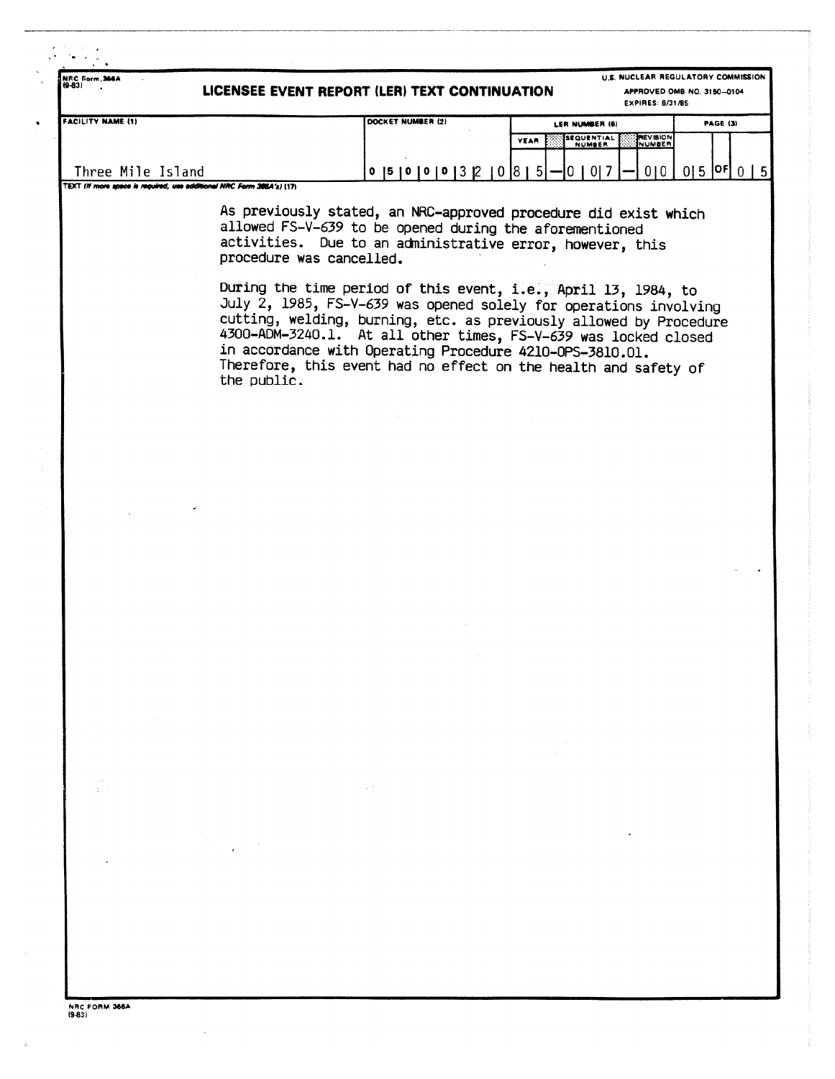| NEC Form, 366A<br>10-831                                                                          | LICENSEE EVENT REPORT (LER) TEXT CONTINUATION                                                                                                                                           |             |                                       | U.S. NUCLEAR REGULATORY COMMISSION<br>APPROVED OMB NO. 3150-0104<br><b>EXPIRES: 8/31/85</b> |                 |  |              |  |
|---------------------------------------------------------------------------------------------------|-----------------------------------------------------------------------------------------------------------------------------------------------------------------------------------------|-------------|---------------------------------------|---------------------------------------------------------------------------------------------|-----------------|--|--------------|--|
| <b>FACILITY NAME (1)</b>                                                                          | DOCKET NUMBER (2)                                                                                                                                                                       |             | LER NUMBER (6)                        |                                                                                             | <b>PAGE (3)</b> |  |              |  |
|                                                                                                   |                                                                                                                                                                                         | <b>YEAR</b> | <b>ISEQUENTIAL E</b><br><b>NUMBER</b> | <b>PEVISION</b><br><b>ESSINUMBER</b>                                                        |                 |  |              |  |
| Three Mile Island                                                                                 | $0$  5   0   0   0   3   2   0   8   5   --   0   0   7   --                                                                                                                            |             |                                       | 0101                                                                                        | $[015]$ $[0F]$  |  | $\mathsf{L}$ |  |
| TEXT (If more apace is required, use additional NRC Form 386A's) (17)<br>procedure was cancelled. | As previously stated, an NRC-approved procedure did exist which<br>allowed FS-V-639 to be opened during the aforementioned<br>activities. Due to an administrative error, however, this |             |                                       |                                                                                             |                 |  |              |  |

During the time period of this event, i.e., April 13, 1984, to July 2, 1985, FS-V-639 was opened solely for operations involving cutting, welding, burning, etc. as previously allowed by Procedure 4300-ADM-3240.1. At all other times, FS-V-639 was locked closed in accordance with Operating Procedure 4210-OPS-3810 .01 . Therefore, this event had no effect on the health and safety of the public.